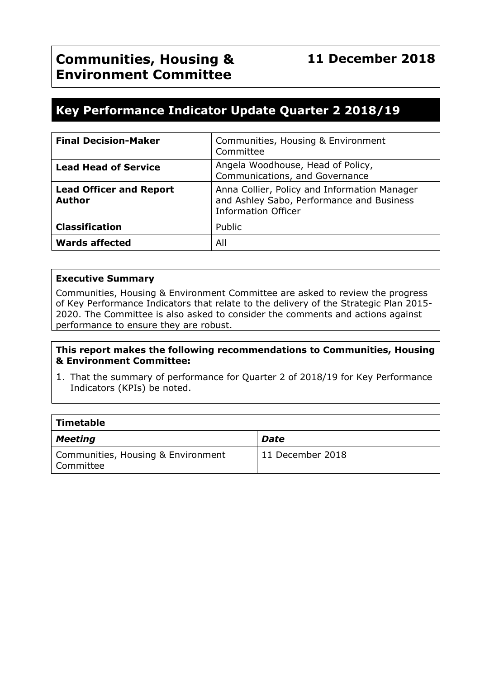# **Key Performance Indicator Update Quarter 2 2018/19**

| <b>Final Decision-Maker</b>                     | Communities, Housing & Environment<br>Committee                                                                         |
|-------------------------------------------------|-------------------------------------------------------------------------------------------------------------------------|
| <b>Lead Head of Service</b>                     | Angela Woodhouse, Head of Policy,<br>Communications, and Governance                                                     |
| <b>Lead Officer and Report</b><br><b>Author</b> | Anna Collier, Policy and Information Manager<br>and Ashley Sabo, Performance and Business<br><b>Information Officer</b> |
| <b>Classification</b>                           | Public                                                                                                                  |
| <b>Wards affected</b>                           | All                                                                                                                     |

#### **Executive Summary**

Communities, Housing & Environment Committee are asked to review the progress of Key Performance Indicators that relate to the delivery of the Strategic Plan 2015- 2020. The Committee is also asked to consider the comments and actions against performance to ensure they are robust.

#### **This report makes the following recommendations to Communities, Housing & Environment Committee:**

1. That the summary of performance for Quarter 2 of 2018/19 for Key Performance Indicators (KPIs) be noted.

| Timetable                                         |                  |  |  |  |  |
|---------------------------------------------------|------------------|--|--|--|--|
| Meeting                                           | <b>Date</b>      |  |  |  |  |
| Communities, Housing & Environment<br>  Committee | 11 December 2018 |  |  |  |  |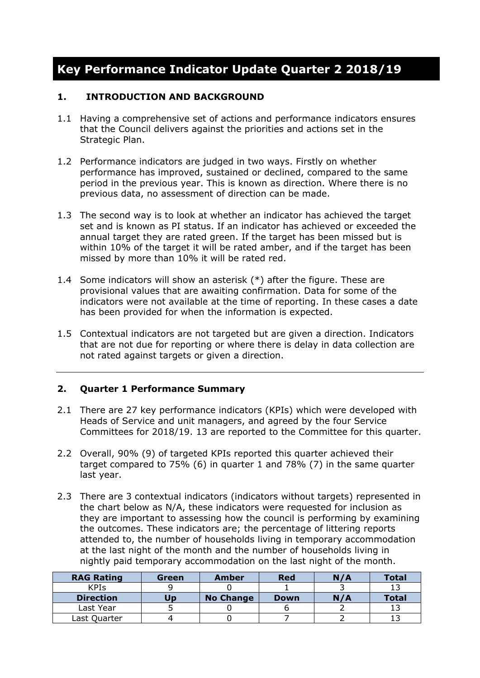# **Key Performance Indicator Update Quarter 2 2018/19**

#### **1. INTRODUCTION AND BACKGROUND**

- 1.1 Having a comprehensive set of actions and performance indicators ensures that the Council delivers against the priorities and actions set in the Strategic Plan.
- 1.2 Performance indicators are judged in two ways. Firstly on whether performance has improved, sustained or declined, compared to the same period in the previous year. This is known as direction. Where there is no previous data, no assessment of direction can be made.
- 1.3 The second way is to look at whether an indicator has achieved the target set and is known as PI status. If an indicator has achieved or exceeded the annual target they are rated green. If the target has been missed but is within 10% of the target it will be rated amber, and if the target has been missed by more than 10% it will be rated red.
- 1.4 Some indicators will show an asterisk (\*) after the figure. These are provisional values that are awaiting confirmation. Data for some of the indicators were not available at the time of reporting. In these cases a date has been provided for when the information is expected.
- 1.5 Contextual indicators are not targeted but are given a direction. Indicators that are not due for reporting or where there is delay in data collection are not rated against targets or given a direction.

### **2. Quarter 1 Performance Summary**

- 2.1 There are 27 key performance indicators (KPIs) which were developed with Heads of Service and unit managers, and agreed by the four Service Committees for 2018/19. 13 are reported to the Committee for this quarter.
- 2.2 Overall, 90% (9) of targeted KPIs reported this quarter achieved their target compared to 75% (6) in quarter 1 and 78% (7) in the same quarter last year.
- 2.3 There are 3 contextual indicators (indicators without targets) represented in the chart below as N/A, these indicators were requested for inclusion as they are important to assessing how the council is performing by examining the outcomes. These indicators are; the percentage of littering reports attended to, the number of households living in temporary accommodation at the last night of the month and the number of households living in nightly paid temporary accommodation on the last night of the month.

| <b>RAG Rating</b> | Green | Amber            | <b>Red</b>  | N/A | <b>Total</b> |
|-------------------|-------|------------------|-------------|-----|--------------|
| <b>KPIs</b>       |       |                  |             |     |              |
| <b>Direction</b>  | Uɒ    | <b>No Change</b> | <b>Down</b> | N/A | <b>Total</b> |
| Last Year         |       |                  |             |     |              |
| Last Quarter      |       |                  |             |     |              |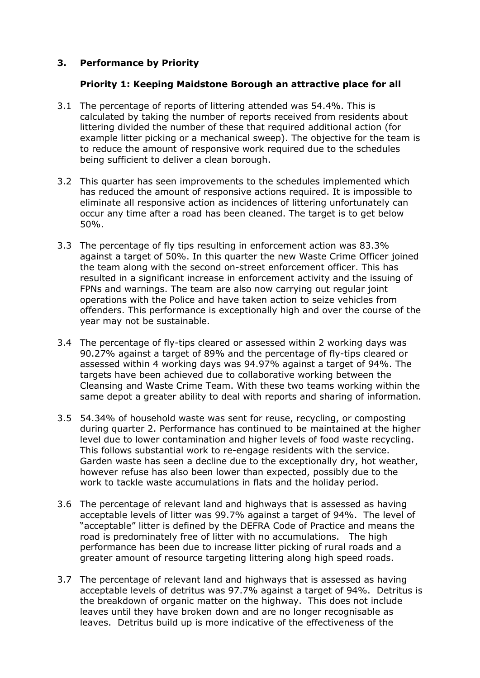#### **3. Performance by Priority**

#### **Priority 1: Keeping Maidstone Borough an attractive place for all**

- 3.1 The percentage of reports of littering attended was 54.4%. This is calculated by taking the number of reports received from residents about littering divided the number of these that required additional action (for example litter picking or a mechanical sweep). The objective for the team is to reduce the amount of responsive work required due to the schedules being sufficient to deliver a clean borough.
- 3.2 This quarter has seen improvements to the schedules implemented which has reduced the amount of responsive actions required. It is impossible to eliminate all responsive action as incidences of littering unfortunately can occur any time after a road has been cleaned. The target is to get below 50%.
- 3.3 The percentage of fly tips resulting in enforcement action was 83.3% against a target of 50%. In this quarter the new Waste Crime Officer joined the team along with the second on-street enforcement officer. This has resulted in a significant increase in enforcement activity and the issuing of FPNs and warnings. The team are also now carrying out regular joint operations with the Police and have taken action to seize vehicles from offenders. This performance is exceptionally high and over the course of the year may not be sustainable.
- 3.4 The percentage of fly-tips cleared or assessed within 2 working days was 90.27% against a target of 89% and the percentage of fly-tips cleared or assessed within 4 working days was 94.97% against a target of 94%. The targets have been achieved due to collaborative working between the Cleansing and Waste Crime Team. With these two teams working within the same depot a greater ability to deal with reports and sharing of information.
- 3.5 54.34% of household waste was sent for reuse, recycling, or composting during quarter 2. Performance has continued to be maintained at the higher level due to lower contamination and higher levels of food waste recycling. This follows substantial work to re-engage residents with the service. Garden waste has seen a decline due to the exceptionally dry, hot weather, however refuse has also been lower than expected, possibly due to the work to tackle waste accumulations in flats and the holiday period.
- 3.6 The percentage of relevant land and highways that is assessed as having acceptable levels of litter was 99.7% against a target of 94%. The level of "acceptable" litter is defined by the DEFRA Code of Practice and means the road is predominately free of litter with no accumulations. The high performance has been due to increase litter picking of rural roads and a greater amount of resource targeting littering along high speed roads.
- 3.7 The percentage of relevant land and highways that is assessed as having acceptable levels of detritus was 97.7% against a target of 94%. Detritus is the breakdown of organic matter on the highway. This does not include leaves until they have broken down and are no longer recognisable as leaves. Detritus build up is more indicative of the effectiveness of the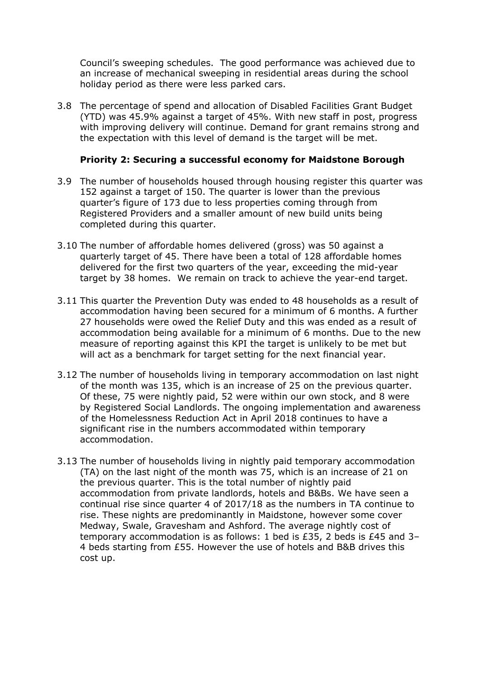Council's sweeping schedules. The good performance was achieved due to an increase of mechanical sweeping in residential areas during the school holiday period as there were less parked cars.

3.8 The percentage of spend and allocation of Disabled Facilities Grant Budget (YTD) was 45.9% against a target of 45%. With new staff in post, progress with improving delivery will continue. Demand for grant remains strong and the expectation with this level of demand is the target will be met.

#### **Priority 2: Securing a successful economy for Maidstone Borough**

- 3.9 The number of households housed through housing register this quarter was 152 against a target of 150. The quarter is lower than the previous quarter's figure of 173 due to less properties coming through from Registered Providers and a smaller amount of new build units being completed during this quarter.
- 3.10 The number of affordable homes delivered (gross) was 50 against a quarterly target of 45. There have been a total of 128 affordable homes delivered for the first two quarters of the year, exceeding the mid-year target by 38 homes. We remain on track to achieve the year-end target.
- 3.11 This quarter the Prevention Duty was ended to 48 households as a result of accommodation having been secured for a minimum of 6 months. A further 27 households were owed the Relief Duty and this was ended as a result of accommodation being available for a minimum of 6 months. Due to the new measure of reporting against this KPI the target is unlikely to be met but will act as a benchmark for target setting for the next financial year.
- 3.12 The number of households living in temporary accommodation on last night of the month was 135, which is an increase of 25 on the previous quarter. Of these, 75 were nightly paid, 52 were within our own stock, and 8 were by Registered Social Landlords. The ongoing implementation and awareness of the Homelessness Reduction Act in April 2018 continues to have a significant rise in the numbers accommodated within temporary accommodation.
- 3.13 The number of households living in nightly paid temporary accommodation (TA) on the last night of the month was 75, which is an increase of 21 on the previous quarter. This is the total number of nightly paid accommodation from private landlords, hotels and B&Bs. We have seen a continual rise since quarter 4 of 2017/18 as the numbers in TA continue to rise. These nights are predominantly in Maidstone, however some cover Medway, Swale, Gravesham and Ashford. The average nightly cost of temporary accommodation is as follows: 1 bed is £35, 2 beds is £45 and 3– 4 beds starting from £55. However the use of hotels and B&B drives this cost up.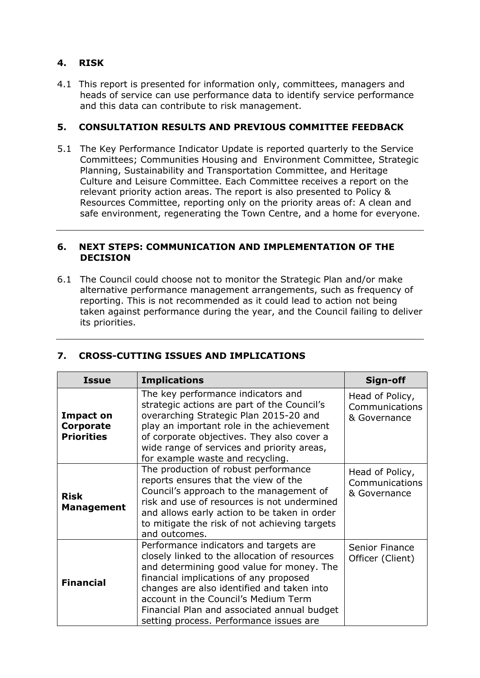# **4. RISK**

4.1 This report is presented for information only, committees, managers and heads of service can use performance data to identify service performance and this data can contribute to risk management.

#### **5. CONSULTATION RESULTS AND PREVIOUS COMMITTEE FEEDBACK**

5.1 The Key Performance Indicator Update is reported quarterly to the Service Committees; Communities Housing and Environment Committee, Strategic Planning, Sustainability and Transportation Committee, and Heritage Culture and Leisure Committee. Each Committee receives a report on the relevant priority action areas. The report is also presented to Policy & Resources Committee, reporting only on the priority areas of: A clean and safe environment, regenerating the Town Centre, and a home for everyone.

#### **6. NEXT STEPS: COMMUNICATION AND IMPLEMENTATION OF THE DECISION**

6.1 The Council could choose not to monitor the Strategic Plan and/or make alternative performance management arrangements, such as frequency of reporting. This is not recommended as it could lead to action not being taken against performance during the year, and the Council failing to deliver its priorities.

| <b>Issue</b>                                | <b>Implications</b>                                                                                                                                                                                                                                                                                                                                            | Sign-off                                          |
|---------------------------------------------|----------------------------------------------------------------------------------------------------------------------------------------------------------------------------------------------------------------------------------------------------------------------------------------------------------------------------------------------------------------|---------------------------------------------------|
| Impact on<br>Corporate<br><b>Priorities</b> | The key performance indicators and<br>strategic actions are part of the Council's<br>overarching Strategic Plan 2015-20 and<br>play an important role in the achievement<br>of corporate objectives. They also cover a<br>wide range of services and priority areas,<br>for example waste and recycling.                                                       | Head of Policy,<br>Communications<br>& Governance |
| <b>Risk</b><br><b>Management</b>            | The production of robust performance<br>reports ensures that the view of the<br>Council's approach to the management of<br>risk and use of resources is not undermined<br>and allows early action to be taken in order<br>to mitigate the risk of not achieving targets<br>and outcomes.                                                                       | Head of Policy,<br>Communications<br>& Governance |
| <b>Financial</b>                            | Performance indicators and targets are<br>closely linked to the allocation of resources<br>and determining good value for money. The<br>financial implications of any proposed<br>changes are also identified and taken into<br>account in the Council's Medium Term<br>Financial Plan and associated annual budget<br>setting process. Performance issues are | Senior Finance<br>Officer (Client)                |

### **7. CROSS-CUTTING ISSUES AND IMPLICATIONS**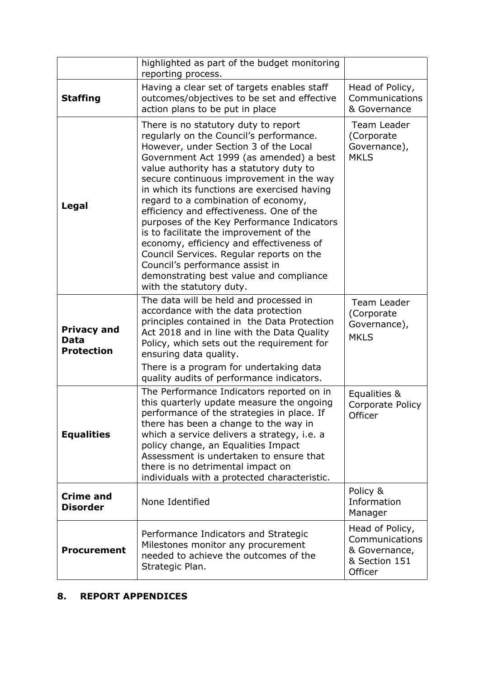|                                                        | highlighted as part of the budget monitoring<br>reporting process.                                                                                                                                                                                                                                                                                                                                                                                                                                                                                                                                                                                                                      |                                                                                |
|--------------------------------------------------------|-----------------------------------------------------------------------------------------------------------------------------------------------------------------------------------------------------------------------------------------------------------------------------------------------------------------------------------------------------------------------------------------------------------------------------------------------------------------------------------------------------------------------------------------------------------------------------------------------------------------------------------------------------------------------------------------|--------------------------------------------------------------------------------|
| <b>Staffing</b>                                        | Having a clear set of targets enables staff<br>outcomes/objectives to be set and effective<br>action plans to be put in place                                                                                                                                                                                                                                                                                                                                                                                                                                                                                                                                                           | Head of Policy,<br>Communications<br>& Governance                              |
| Legal                                                  | There is no statutory duty to report<br>regularly on the Council's performance.<br>However, under Section 3 of the Local<br>Government Act 1999 (as amended) a best<br>value authority has a statutory duty to<br>secure continuous improvement in the way<br>in which its functions are exercised having<br>regard to a combination of economy,<br>efficiency and effectiveness. One of the<br>purposes of the Key Performance Indicators<br>is to facilitate the improvement of the<br>economy, efficiency and effectiveness of<br>Council Services. Regular reports on the<br>Council's performance assist in<br>demonstrating best value and compliance<br>with the statutory duty. | Team Leader<br>(Corporate<br>Governance),<br><b>MKLS</b>                       |
| <b>Privacy and</b><br><b>Data</b><br><b>Protection</b> | The data will be held and processed in<br>accordance with the data protection<br>principles contained in the Data Protection<br>Act 2018 and in line with the Data Quality<br>Policy, which sets out the requirement for<br>ensuring data quality.<br>There is a program for undertaking data                                                                                                                                                                                                                                                                                                                                                                                           | Team Leader<br>(Corporate<br>Governance),<br><b>MKLS</b>                       |
| <b>Equalities</b>                                      | quality audits of performance indicators.<br>The Performance Indicators reported on in<br>this quarterly update measure the ongoing<br>performance of the strategies in place. If<br>there has been a change to the way in<br>which a service delivers a strategy, i.e. a<br>policy change, an Equalities Impact<br>Assessment is undertaken to ensure that<br>there is no detrimental impact on<br>individuals with a protected characteristic.                                                                                                                                                                                                                                        | Equalities &<br>Corporate Policy<br>Officer                                    |
| <b>Crime and</b><br><b>Disorder</b>                    | None Identified                                                                                                                                                                                                                                                                                                                                                                                                                                                                                                                                                                                                                                                                         | Policy &<br>Information<br>Manager                                             |
| <b>Procurement</b>                                     | Performance Indicators and Strategic<br>Milestones monitor any procurement<br>needed to achieve the outcomes of the<br>Strategic Plan.                                                                                                                                                                                                                                                                                                                                                                                                                                                                                                                                                  | Head of Policy,<br>Communications<br>& Governance,<br>& Section 151<br>Officer |

# **8. REPORT APPENDICES**